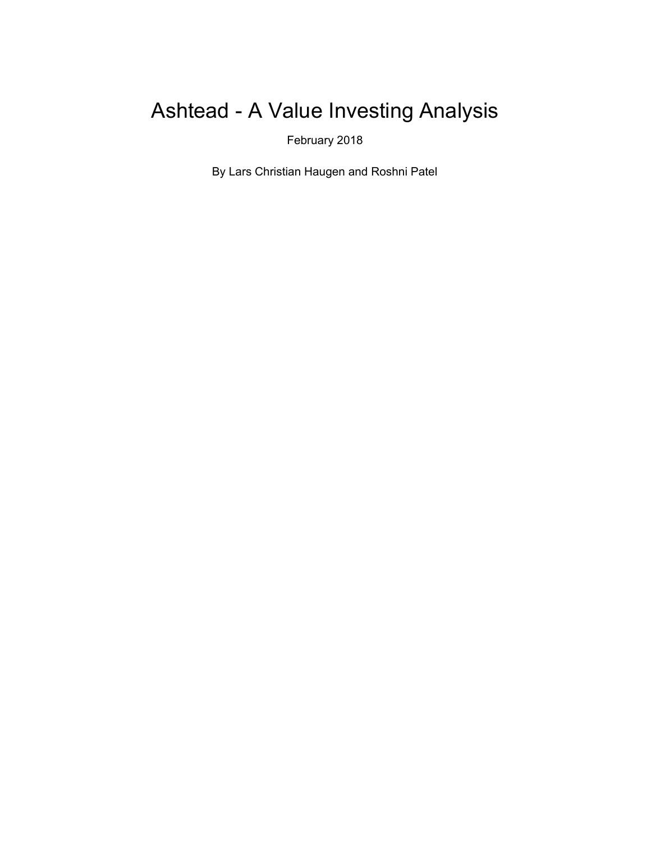# Ashtead - A Value Investing Analysis

February 2018

By Lars Christian Haugen and Roshni Patel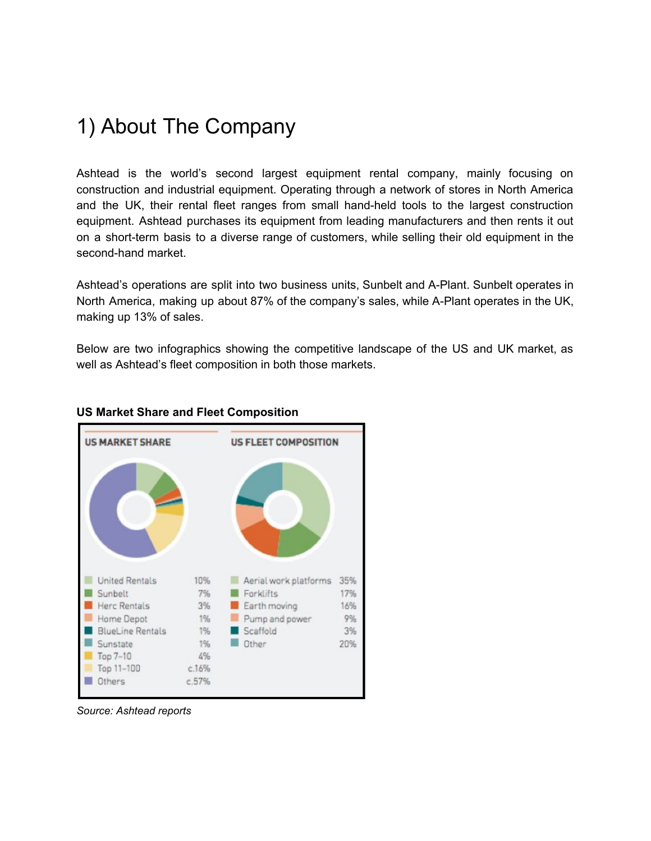## 1) About The Company

Ashtead is the world's second largest equipment rental company, mainly focusing on construction and industrial equipment. Operating through a network of stores in North America and the UK, their rental fleet ranges from small hand-held tools to the largest construction equipment. Ashtead purchases its equipment from leading manufacturers and then rents it out on a short-term basis to a diverse range of customers, while selling their old equipment in the second-hand market.

Ashtead's operations are split into two business units, Sunbelt and A-Plant. Sunbelt operates in North America, making up about 87% of the company's sales, while A-Plant operates in the UK, making up 13% of sales.

Below are two infographics showing the competitive landscape of the US and UK market, as well as Ashtead's fleet composition in both those markets.



#### **US Market Share and Fleet Composition**

*Source: Ashtead reports*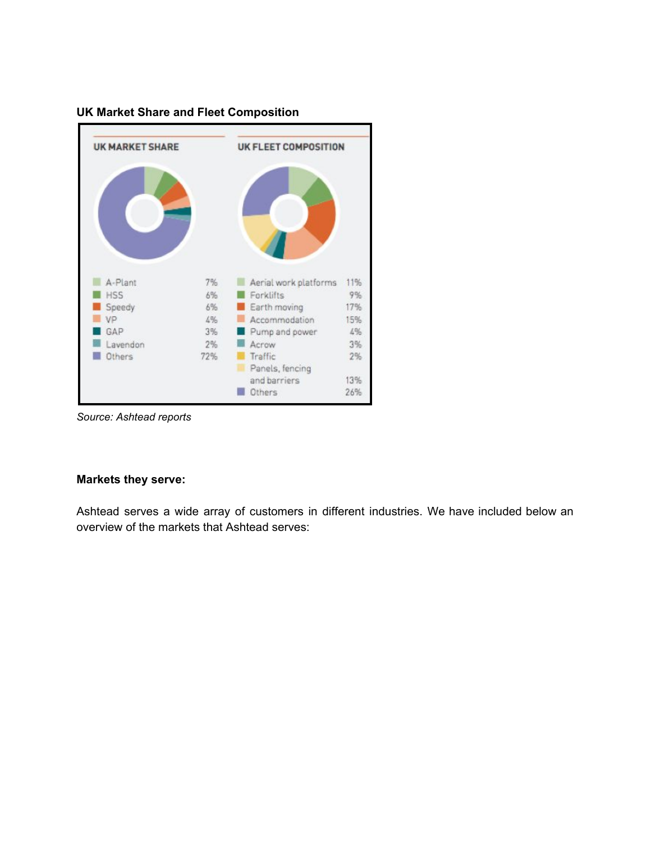

### **UK Market Share and Fleet Composition**

*Source: Ashtead reports*

#### **Markets they serve:**

Ashtead serves a wide array of customers in different industries. We have included below an overview of the markets that Ashtead serves: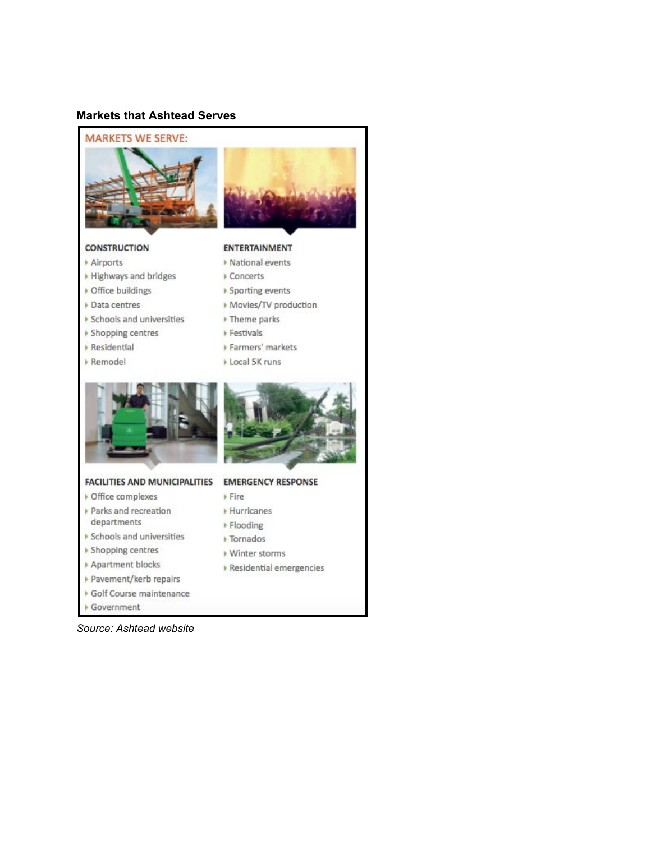#### **Markets that Ashtead Serves**



Government

*Source: Ashtead website*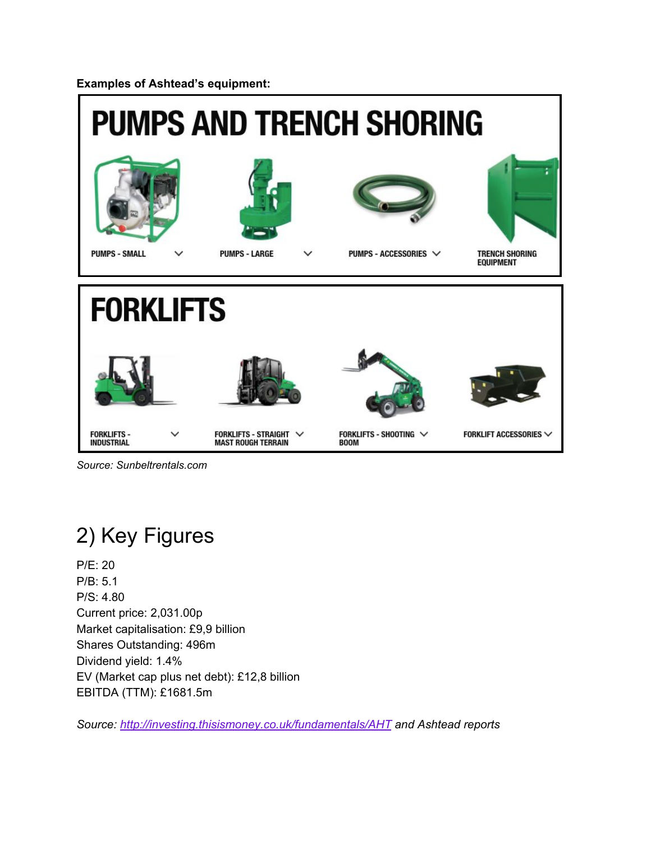**Examples of Ashtead's equipment:**



*Source: Sunbeltrentals.com*

# 2) Key Figures

P/E: 20 P/B: 5.1 P/S: 4.80 Current price: 2,031.00p Market capitalisation: £9,9 billion Shares Outstanding: 496m Dividend yield: 1.4% EV (Market cap plus net debt): £12,8 billion EBITDA (TTM): £1681.5m

*Source: <http://investing.thisismoney.co.uk/fundamentals/AHT> and Ashtead reports*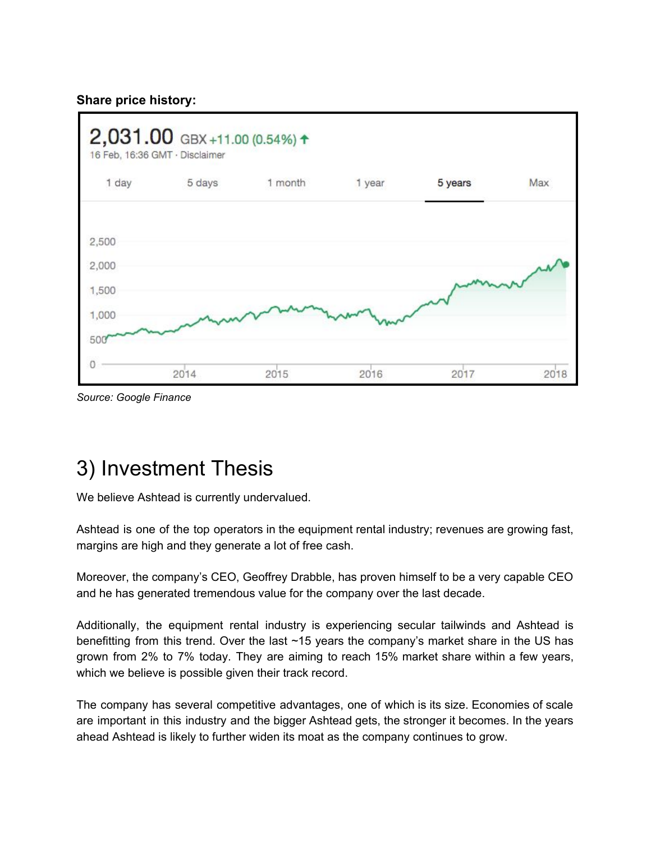### **Share price history:**



*Source: Google Finance*

# 3) Investment Thesis

We believe Ashtead is currently undervalued.

Ashtead is one of the top operators in the equipment rental industry; revenues are growing fast, margins are high and they generate a lot of free cash.

Moreover, the company's CEO, Geoffrey Drabble, has proven himself to be a very capable CEO and he has generated tremendous value for the company over the last decade.

Additionally, the equipment rental industry is experiencing secular tailwinds and Ashtead is benefitting from this trend. Over the last ~15 years the company's market share in the US has grown from 2% to 7% today. They are aiming to reach 15% market share within a few years, which we believe is possible given their track record.

The company has several competitive advantages, one of which is its size. Economies of scale are important in this industry and the bigger Ashtead gets, the stronger it becomes. In the years ahead Ashtead is likely to further widen its moat as the company continues to grow.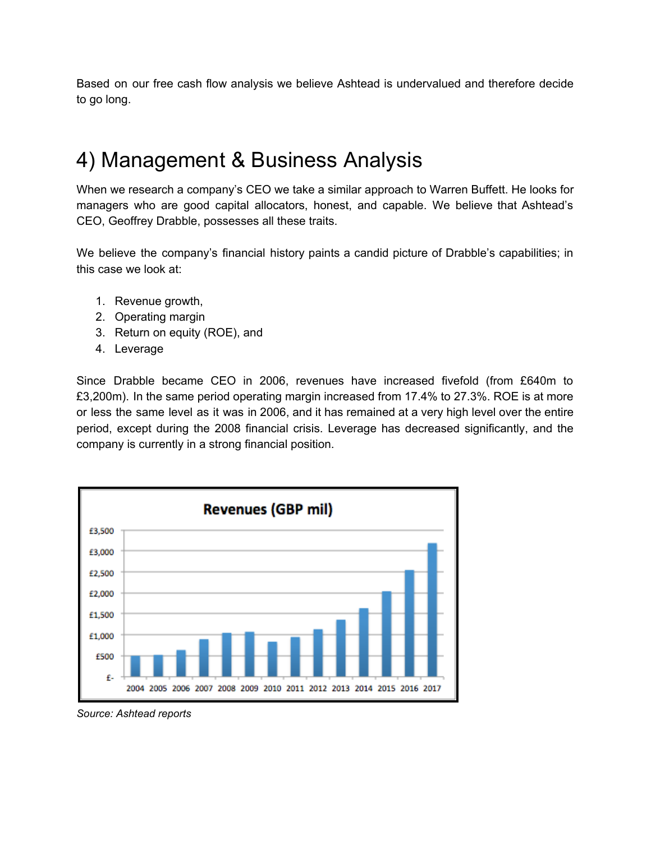Based on our free cash flow analysis we believe Ashtead is undervalued and therefore decide to go long.

## 4) Management & Business Analysis

When we research a company's CEO we take a similar approach to Warren Buffett. He looks for managers who are good capital allocators, honest, and capable. We believe that Ashtead's CEO, Geoffrey Drabble, possesses all these traits.

We believe the company's financial history paints a candid picture of Drabble's capabilities; in this case we look at:

- 1. Revenue growth,
- 2. Operating margin
- 3. Return on equity (ROE), and
- 4. Leverage

Since Drabble became CEO in 2006, revenues have increased fivefold (from £640m to £3,200m). In the same period operating margin increased from 17.4% to 27.3%. ROE is at more or less the same level as it was in 2006, and it has remained at a very high level over the entire period, except during the 2008 financial crisis. Leverage has decreased significantly, and the company is currently in a strong financial position.



*Source: Ashtead reports*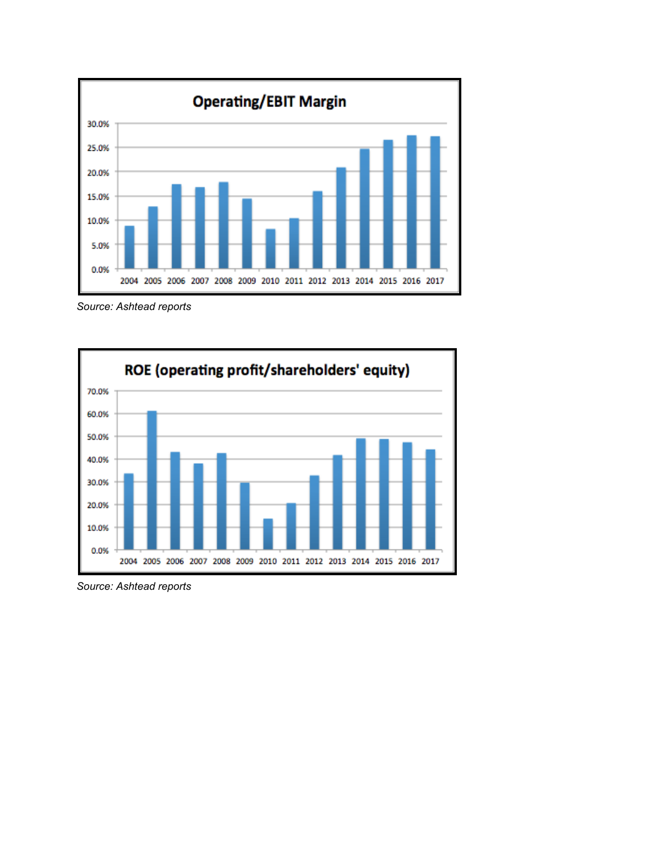

*Source: Ashtead reports*



*Source: Ashtead reports*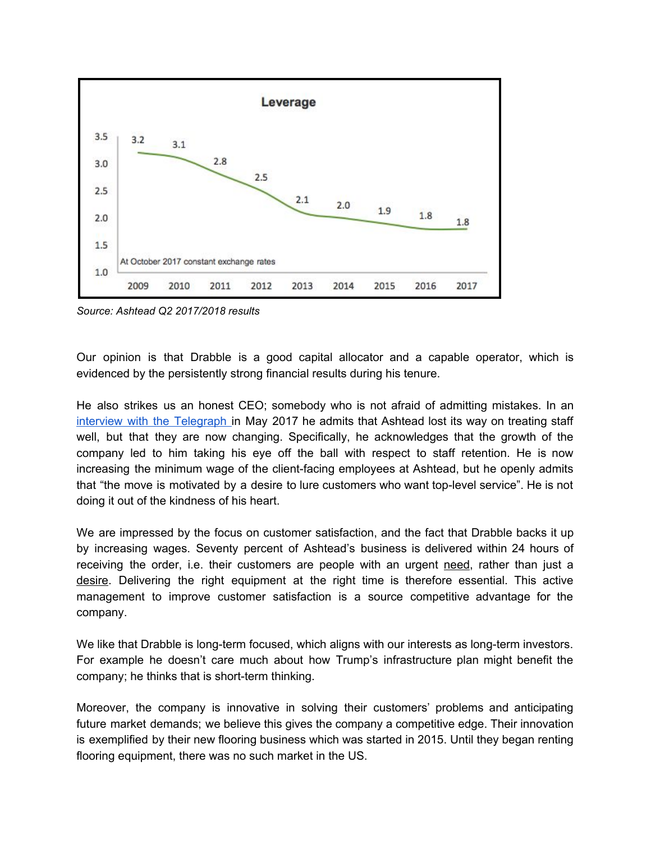

*Source: Ashtead Q2 2017/2018 results*

Our opinion is that Drabble is a good capital allocator and a capable operator, which is evidenced by the persistently strong financial results during his tenure.

He also strikes us an honest CEO; somebody who is not afraid of admitting mistakes. In an interview with the [Telegraph](http://www.telegraph.co.uk/business/2017/05/27/geoff-drabble-ashtead-lost-way-treating-staff-now-changing/) in May 2017 he admits that Ashtead lost its way on treating staff well, but that they are now changing. Specifically, he acknowledges that the growth of the company led to him taking his eye off the ball with respect to staff retention. He is now increasing the minimum wage of the client-facing employees at Ashtead, but he openly admits that "the move is motivated by a desire to lure customers who want top-level service". He is not doing it out of the kindness of his heart.

We are impressed by the focus on customer satisfaction, and the fact that Drabble backs it up by increasing wages. Seventy percent of Ashtead's business is delivered within 24 hours of receiving the order, i.e. their customers are people with an urgent need, rather than just a desire. Delivering the right equipment at the right time is therefore essential. This active management to improve customer satisfaction is a source competitive advantage for the company.

We like that Drabble is long-term focused, which aligns with our interests as long-term investors. For example he doesn't care much about how Trump's infrastructure plan might benefit the company; he thinks that is short-term thinking.

Moreover, the company is innovative in solving their customers' problems and anticipating future market demands; we believe this gives the company a competitive edge. Their innovation is exemplified by their new flooring business which was started in 2015. Until they began renting flooring equipment, there was no such market in the US.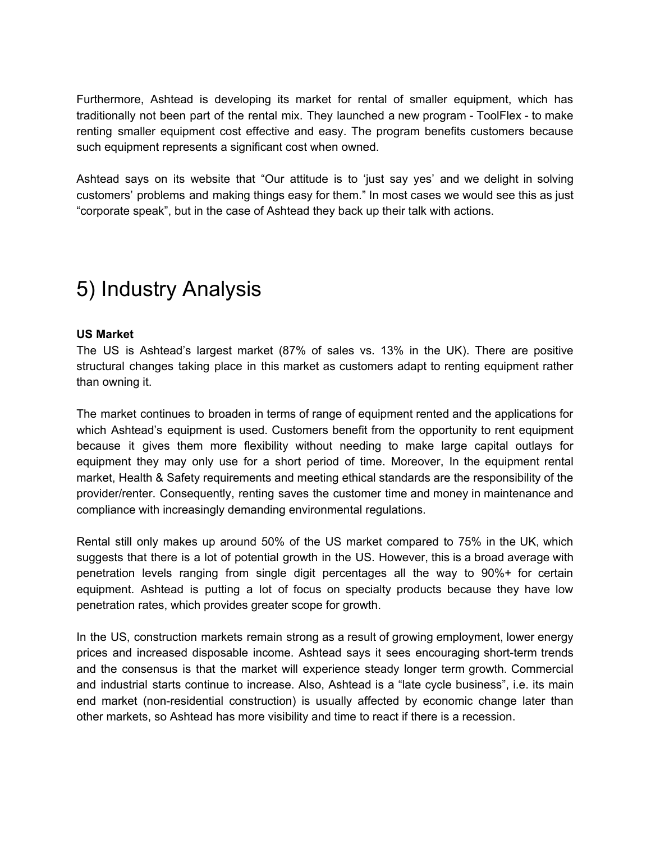Furthermore, Ashtead is developing its market for rental of smaller equipment, which has traditionally not been part of the rental mix. They launched a new program - ToolFlex - to make renting smaller equipment cost effective and easy. The program benefits customers because such equipment represents a significant cost when owned.

Ashtead says on its website that "Our attitude is to 'just say yes' and we delight in solving customers' problems and making things easy for them." In most cases we would see this as just "corporate speak", but in the case of Ashtead they back up their talk with actions.

# 5) Industry Analysis

#### **US Market**

The US is Ashtead's largest market (87% of sales vs. 13% in the UK). There are positive structural changes taking place in this market as customers adapt to renting equipment rather than owning it.

The market continues to broaden in terms of range of equipment rented and the applications for which Ashtead's equipment is used. Customers benefit from the opportunity to rent equipment because it gives them more flexibility without needing to make large capital outlays for equipment they may only use for a short period of time. Moreover, In the equipment rental market, Health & Safety requirements and meeting ethical standards are the responsibility of the provider/renter. Consequently, renting saves the customer time and money in maintenance and compliance with increasingly demanding environmental regulations.

Rental still only makes up around 50% of the US market compared to 75% in the UK, which suggests that there is a lot of potential growth in the US. However, this is a broad average with penetration levels ranging from single digit percentages all the way to 90%+ for certain equipment. Ashtead is putting a lot of focus on specialty products because they have low penetration rates, which provides greater scope for growth.

In the US, construction markets remain strong as a result of growing employment, lower energy prices and increased disposable income. Ashtead says it sees encouraging short-term trends and the consensus is that the market will experience steady longer term growth. Commercial and industrial starts continue to increase. Also, Ashtead is a "late cycle business", i.e. its main end market (non-residential construction) is usually affected by economic change later than other markets, so Ashtead has more visibility and time to react if there is a recession.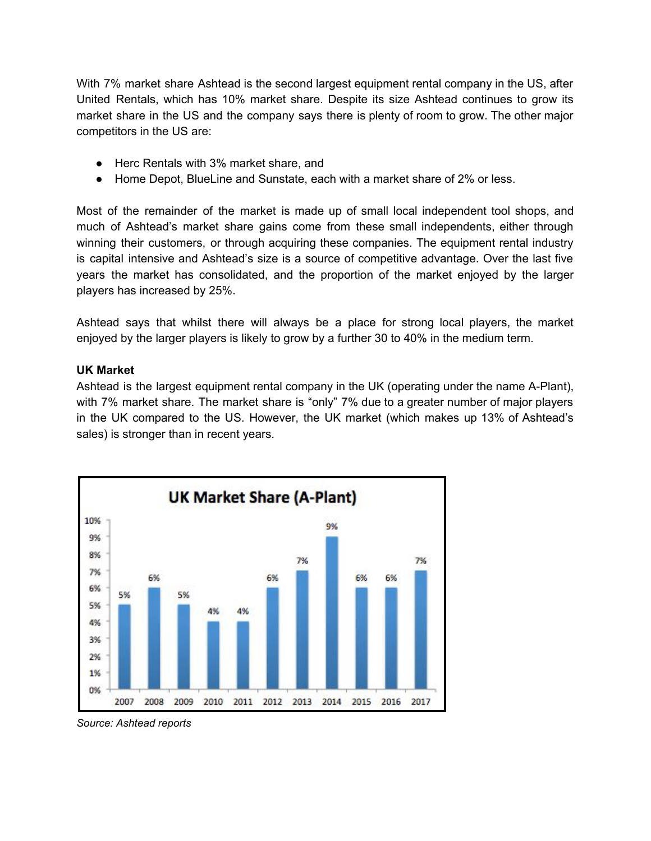With 7% market share Ashtead is the second largest equipment rental company in the US, after United Rentals, which has 10% market share. Despite its size Ashtead continues to grow its market share in the US and the company says there is plenty of room to grow. The other major competitors in the US are:

- Herc Rentals with 3% market share, and
- Home Depot, BlueLine and Sunstate, each with a market share of 2% or less.

Most of the remainder of the market is made up of small local independent tool shops, and much of Ashtead's market share gains come from these small independents, either through winning their customers, or through acquiring these companies. The equipment rental industry is capital intensive and Ashtead's size is a source of competitive advantage. Over the last five years the market has consolidated, and the proportion of the market enjoyed by the larger players has increased by 25%.

Ashtead says that whilst there will always be a place for strong local players, the market enjoyed by the larger players is likely to grow by a further 30 to 40% in the medium term.

#### **UK Market**

Ashtead is the largest equipment rental company in the UK (operating under the name A-Plant), with 7% market share. The market share is "only" 7% due to a greater number of major players in the UK compared to the US. However, the UK market (which makes up 13% of Ashtead's sales) is stronger than in recent years.



*Source: Ashtead reports*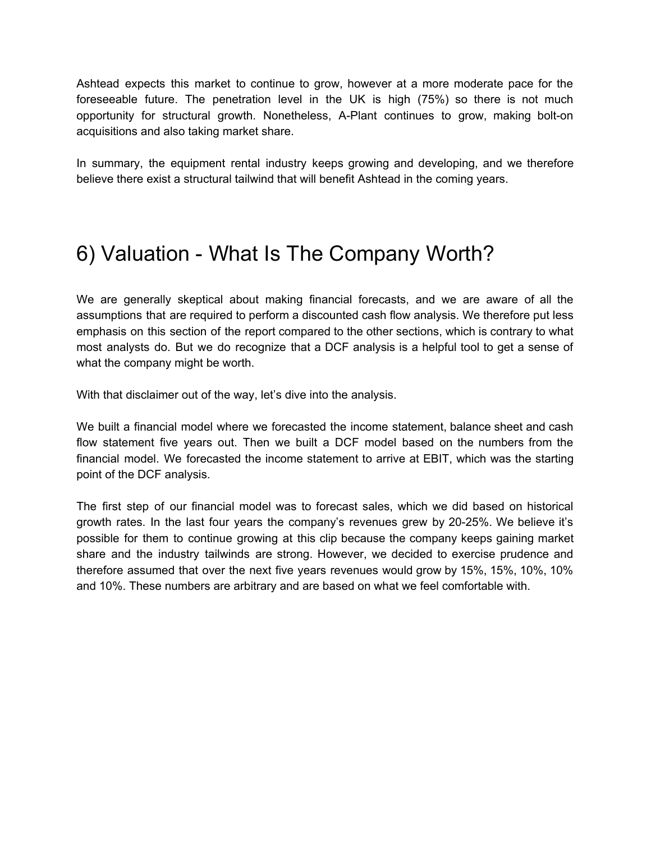Ashtead expects this market to continue to grow, however at a more moderate pace for the foreseeable future. The penetration level in the UK is high (75%) so there is not much opportunity for structural growth. Nonetheless, A-Plant continues to grow, making bolt-on acquisitions and also taking market share.

In summary, the equipment rental industry keeps growing and developing, and we therefore believe there exist a structural tailwind that will benefit Ashtead in the coming years.

## 6) Valuation - What Is The Company Worth?

We are generally skeptical about making financial forecasts, and we are aware of all the assumptions that are required to perform a discounted cash flow analysis. We therefore put less emphasis on this section of the report compared to the other sections, which is contrary to what most analysts do. But we do recognize that a DCF analysis is a helpful tool to get a sense of what the company might be worth.

With that disclaimer out of the way, let's dive into the analysis.

We built a financial model where we forecasted the income statement, balance sheet and cash flow statement five years out. Then we built a DCF model based on the numbers from the financial model. We forecasted the income statement to arrive at EBIT, which was the starting point of the DCF analysis.

The first step of our financial model was to forecast sales, which we did based on historical growth rates. In the last four years the company's revenues grew by 20-25%. We believe it's possible for them to continue growing at this clip because the company keeps gaining market share and the industry tailwinds are strong. However, we decided to exercise prudence and therefore assumed that over the next five years revenues would grow by 15%, 15%, 10%, 10% and 10%. These numbers are arbitrary and are based on what we feel comfortable with.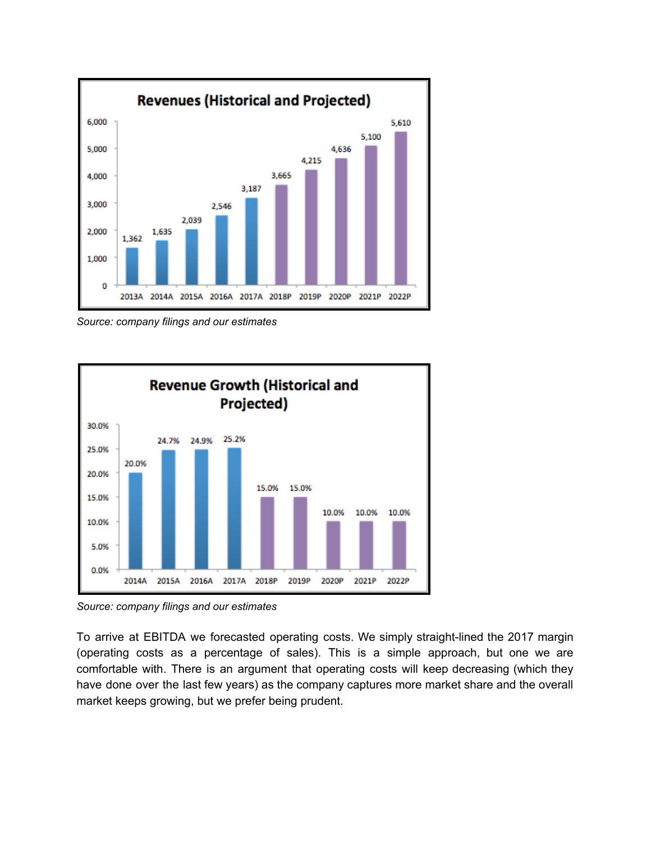

*Source: company filings and our estimates*



*Source: company filings and our estimates*

To arrive at EBITDA we forecasted operating costs. We simply straight-lined the 2017 margin (operating costs as a percentage of sales). This is a simple approach, but one we are comfortable with. There is an argument that operating costs will keep decreasing (which they have done over the last few years) as the company captures more market share and the overall market keeps growing, but we prefer being prudent.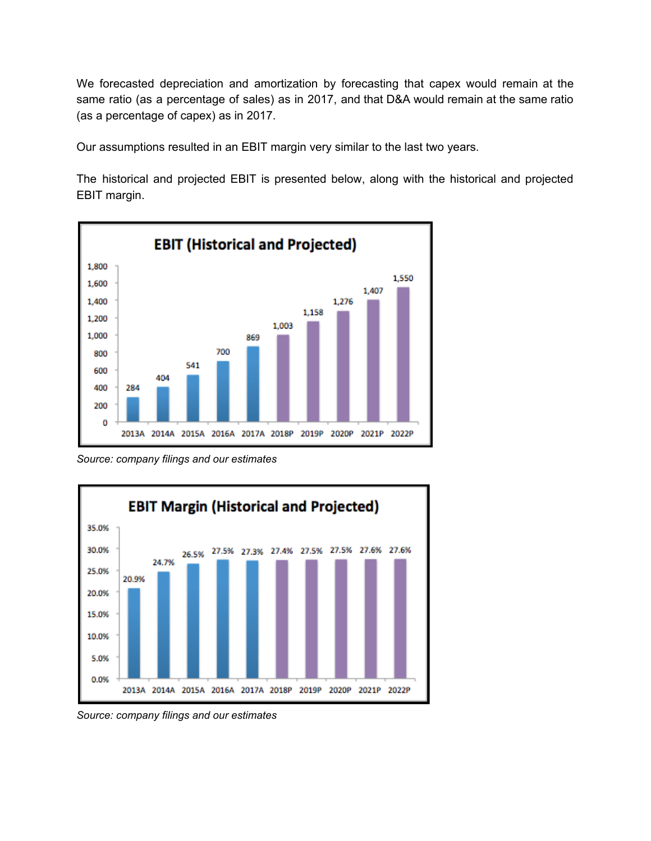We forecasted depreciation and amortization by forecasting that capex would remain at the same ratio (as a percentage of sales) as in 2017, and that D&A would remain at the same ratio (as a percentage of capex) as in 2017.

Our assumptions resulted in an EBIT margin very similar to the last two years.

The historical and projected EBIT is presented below, along with the historical and projected EBIT margin.



*Source: company filings and our estimates*



*Source: company filings and our estimates*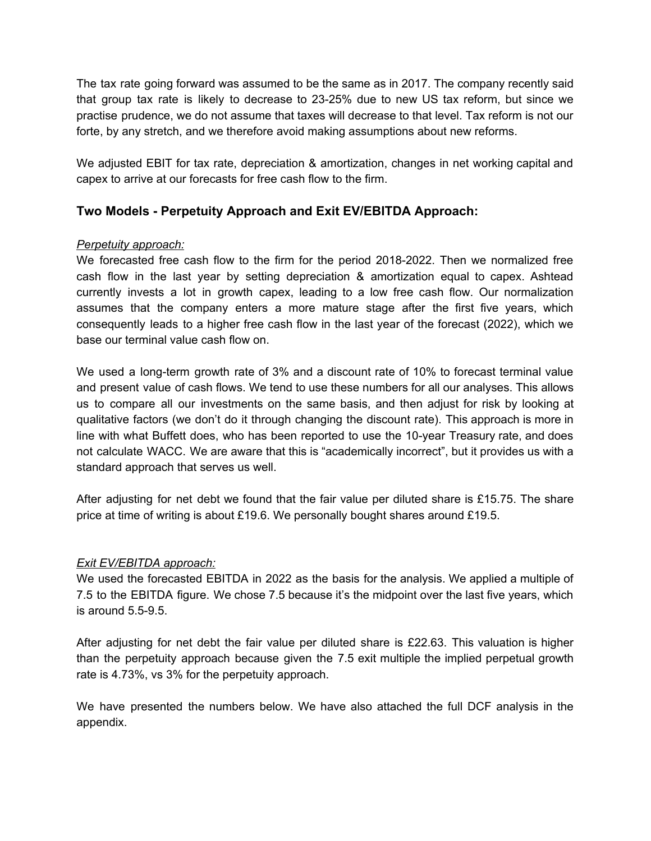The tax rate going forward was assumed to be the same as in 2017. The company recently said that group tax rate is likely to decrease to 23-25% due to new US tax reform, but since we practise prudence, we do not assume that taxes will decrease to that level. Tax reform is not our forte, by any stretch, and we therefore avoid making assumptions about new reforms.

We adjusted EBIT for tax rate, depreciation & amortization, changes in net working capital and capex to arrive at our forecasts for free cash flow to the firm.

### **Two Models - Perpetuity Approach and Exit EV/EBITDA Approach:**

### *Perpetuity approach:*

We forecasted free cash flow to the firm for the period 2018-2022. Then we normalized free cash flow in the last year by setting depreciation & amortization equal to capex. Ashtead currently invests a lot in growth capex, leading to a low free cash flow. Our normalization assumes that the company enters a more mature stage after the first five years, which consequently leads to a higher free cash flow in the last year of the forecast (2022), which we base our terminal value cash flow on.

We used a long-term growth rate of 3% and a discount rate of 10% to forecast terminal value and present value of cash flows. We tend to use these numbers for all our analyses. This allows us to compare all our investments on the same basis, and then adjust for risk by looking at qualitative factors (we don't do it through changing the discount rate). This approach is more in line with what Buffett does, who has been reported to use the 10-year Treasury rate, and does not calculate WACC. We are aware that this is "academically incorrect", but it provides us with a standard approach that serves us well.

After adjusting for net debt we found that the fair value per diluted share is £15.75. The share price at time of writing is about £19.6. We personally bought shares around £19.5.

#### *Exit EV/EBITDA approach:*

We used the forecasted EBITDA in 2022 as the basis for the analysis. We applied a multiple of 7.5 to the EBITDA figure. We chose 7.5 because it's the midpoint over the last five years, which is around 5.5-9.5.

After adjusting for net debt the fair value per diluted share is £22.63. This valuation is higher than the perpetuity approach because given the 7.5 exit multiple the implied perpetual growth rate is 4.73%, vs 3% for the perpetuity approach.

We have presented the numbers below. We have also attached the full DCF analysis in the appendix.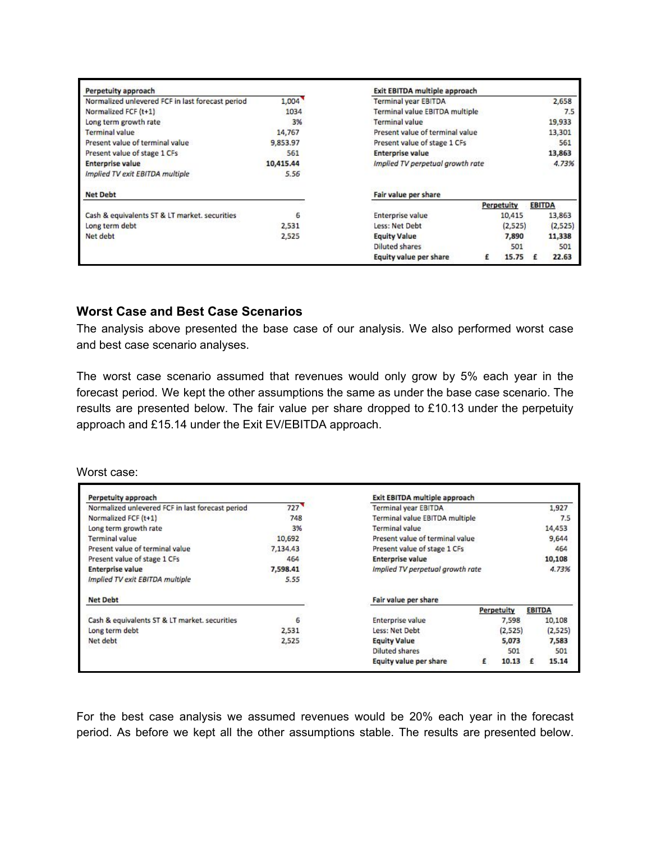| Perpetuity approach                              |           | Exit EBITDA multiple approach    |  |            |               |         |
|--------------------------------------------------|-----------|----------------------------------|--|------------|---------------|---------|
| Normalized unlevered FCF in last forecast period | 1,004     | <b>Terminal year EBITDA</b>      |  |            |               | 2,658   |
| Normalized FCF (t+1)                             | 1034      | Terminal value EBITDA multiple   |  |            |               | 7.5     |
| Long term growth rate                            | 3%        | <b>Terminal value</b>            |  |            |               | 19,933  |
| <b>Terminal value</b>                            | 14,767    | Present value of terminal value  |  |            |               | 13,301  |
| Present value of terminal value                  | 9.853.97  | Present value of stage 1 CFs     |  |            |               | 561     |
| Present value of stage 1 CFs                     | 561       | <b>Enterprise value</b>          |  |            |               | 13,863  |
| <b>Enterprise value</b>                          | 10,415.44 | Implied TV perpetual growth rate |  |            |               | 4.73%   |
| Implied TV exit EBITDA multiple                  | 5.56      |                                  |  |            |               |         |
| <b>Net Debt</b>                                  |           | Fair value per share             |  |            |               |         |
|                                                  |           |                                  |  | Perpetuity | <b>EBITDA</b> |         |
| Cash & equivalents ST & LT market. securities    | 6         | Enterprise value                 |  | 10,415     |               | 13,863  |
| Long term debt                                   | 2,531     | Less: Net Debt                   |  | (2,525)    |               | (2,525) |
| Net debt                                         | 2,525     | <b>Equity Value</b>              |  | 7,890      |               | 11,338  |
|                                                  |           | <b>Diluted shares</b>            |  | 501        |               | 501     |
|                                                  |           | Equity value per share           |  | 15.75      |               | 22.63   |

### **Worst Case and Best Case Scenarios**

The analysis above presented the base case of our analysis. We also performed worst case and best case scenario analyses.

The worst case scenario assumed that revenues would only grow by 5% each year in the forecast period. We kept the other assumptions the same as under the base case scenario. The results are presented below. The fair value per share dropped to £10.13 under the perpetuity approach and £15.14 under the Exit EV/EBITDA approach.

Worst case:

| Perpetuity approach                              |          | Exit EBITDA multiple approach    |  |            |               |         |
|--------------------------------------------------|----------|----------------------------------|--|------------|---------------|---------|
| Normalized unlevered FCF in last forecast period | 727      | <b>Terminal year EBITDA</b>      |  |            |               | 1,927   |
| Normalized FCF (t+1)                             | 748      | Terminal value EBITDA multiple   |  |            |               | 7.5     |
| Long term growth rate                            | 3%       | Terminal value                   |  |            |               | 14,453  |
| <b>Terminal value</b>                            | 10,692   | Present value of terminal value  |  |            |               | 9,644   |
| Present value of terminal value                  | 7.134.43 | Present value of stage 1 CFs     |  |            |               | 464     |
| Present value of stage 1 CFs                     | 464      | <b>Enterprise value</b>          |  |            |               | 10,108  |
| <b>Enterprise value</b>                          | 7,598.41 | Implied TV perpetual growth rate |  |            |               | 4.73%   |
| Implied TV exit EBITDA multiple                  | 5.55     |                                  |  |            |               |         |
| <b>Net Debt</b>                                  |          | Fair value per share             |  |            |               |         |
|                                                  |          |                                  |  | Perpetuity | <b>EBITDA</b> |         |
| Cash & equivalents ST & LT market, securities    | 6        | Enterprise value                 |  | 7.598      |               | 10,108  |
| Long term debt                                   | 2.531    | Less: Net Debt                   |  | (2,525)    |               | (2,525) |
| Net debt                                         | 2,525    | <b>Equity Value</b>              |  | 5,073      |               | 7,583   |
|                                                  |          | <b>Diluted shares</b>            |  | 501        |               | 501     |
|                                                  |          |                                  |  |            |               |         |

For the best case analysis we assumed revenues would be 20% each year in the forecast period. As before we kept all the other assumptions stable. The results are presented below.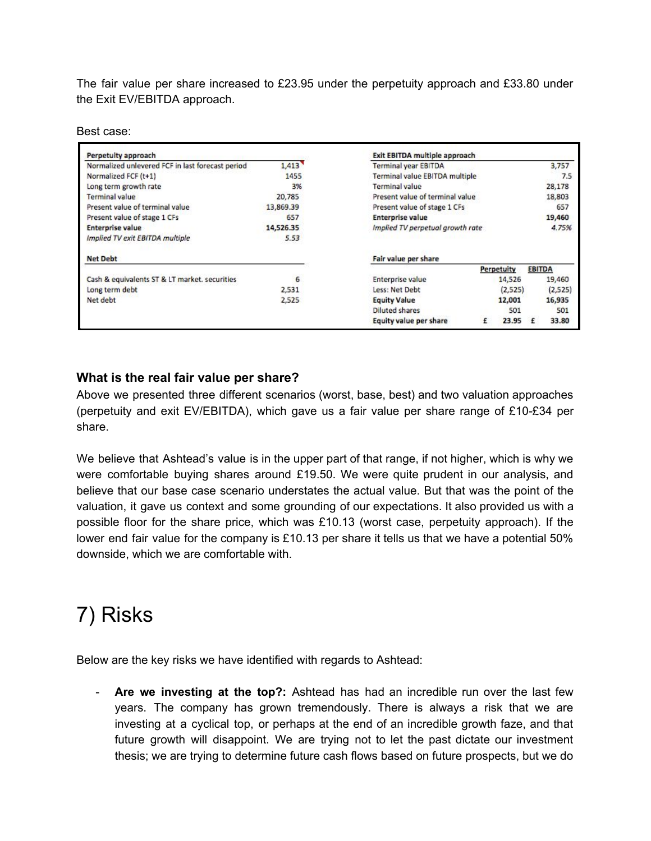The fair value per share increased to £23.95 under the perpetuity approach and £33.80 under the Exit EV/EBITDA approach.

Best case:

| Perpetuity approach                              |           | <b>Exit EBITDA multiple approach</b> |   |                   |               |         |
|--------------------------------------------------|-----------|--------------------------------------|---|-------------------|---------------|---------|
| Normalized unlevered FCF in last forecast period | 1,413     | Terminal year EBITDA                 |   |                   |               | 3,757   |
| Normalized FCF (t+1)                             | 1455      | Terminal value EBITDA multiple       |   |                   |               | 7.5     |
| Long term growth rate                            | 3%        | <b>Terminal value</b>                |   |                   |               | 28,178  |
| Terminal value                                   | 20,785    | Present value of terminal value      |   |                   |               | 18,803  |
| Present value of terminal value                  | 13,869.39 | Present value of stage 1 CFs         |   |                   |               | 657     |
| Present value of stage 1 CFs                     | 657       | <b>Enterprise value</b>              |   |                   |               | 19,460  |
| <b>Enterprise value</b>                          | 14,526.35 | Implied TV perpetual growth rate     |   |                   |               | 4.75%   |
| Implied TV exit EBITDA multiple                  | 5.53      |                                      |   |                   |               |         |
| <b>Net Debt</b>                                  |           | Fair value per share                 |   |                   |               |         |
|                                                  |           |                                      |   | <b>Perpetuity</b> | <b>EBITDA</b> |         |
| Cash & equivalents ST & LT market, securities    | 6         | <b>Enterprise value</b>              |   | 14,526            |               | 19,460  |
| Long term debt                                   | 2,531     | Less: Net Debt                       |   | (2,525)           |               | (2,525) |
| Net debt                                         | 2,525     | <b>Equity Value</b>                  |   | 12,001            |               | 16,935  |
|                                                  |           | <b>Diluted shares</b>                |   | 501               |               | 501     |
|                                                  |           | Equity value per share               | £ | 23.95             | £             | 33.80   |

### **What is the real fair value per share?**

Above we presented three different scenarios (worst, base, best) and two valuation approaches (perpetuity and exit EV/EBITDA), which gave us a fair value per share range of £10-£34 per share.

We believe that Ashtead's value is in the upper part of that range, if not higher, which is why we were comfortable buying shares around £19.50. We were quite prudent in our analysis, and believe that our base case scenario understates the actual value. But that was the point of the valuation, it gave us context and some grounding of our expectations. It also provided us with a possible floor for the share price, which was £10.13 (worst case, perpetuity approach). If the lower end fair value for the company is £10.13 per share it tells us that we have a potential 50% downside, which we are comfortable with.

# 7) Risks

Below are the key risks we have identified with regards to Ashtead:

- **Are we investing at the top?:** Ashtead has had an incredible run over the last few years. The company has grown tremendously. There is always a risk that we are investing at a cyclical top, or perhaps at the end of an incredible growth faze, and that future growth will disappoint. We are trying not to let the past dictate our investment thesis; we are trying to determine future cash flows based on future prospects, but we do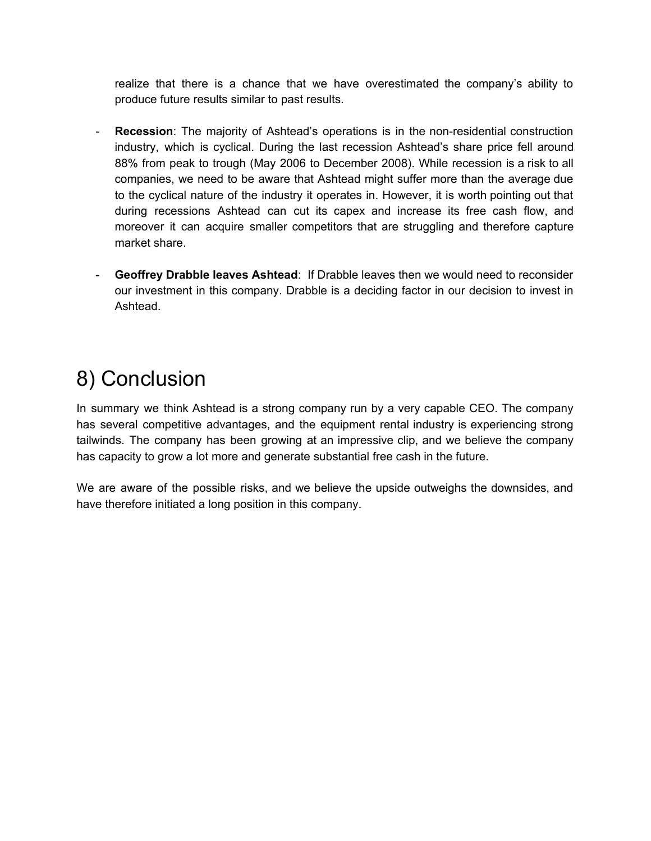realize that there is a chance that we have overestimated the company's ability to produce future results similar to past results.

- **Recession**: The majority of Ashtead's operations is in the non-residential construction industry, which is cyclical. During the last recession Ashtead's share price fell around 88% from peak to trough (May 2006 to December 2008). While recession is a risk to all companies, we need to be aware that Ashtead might suffer more than the average due to the cyclical nature of the industry it operates in. However, it is worth pointing out that during recessions Ashtead can cut its capex and increase its free cash flow, and moreover it can acquire smaller competitors that are struggling and therefore capture market share.
- **Geoffrey Drabble leaves Ashtead**: If Drabble leaves then we would need to reconsider our investment in this company. Drabble is a deciding factor in our decision to invest in Ashtead.

# 8) Conclusion

In summary we think Ashtead is a strong company run by a very capable CEO. The company has several competitive advantages, and the equipment rental industry is experiencing strong tailwinds. The company has been growing at an impressive clip, and we believe the company has capacity to grow a lot more and generate substantial free cash in the future.

We are aware of the possible risks, and we believe the upside outweighs the downsides, and have therefore initiated a long position in this company.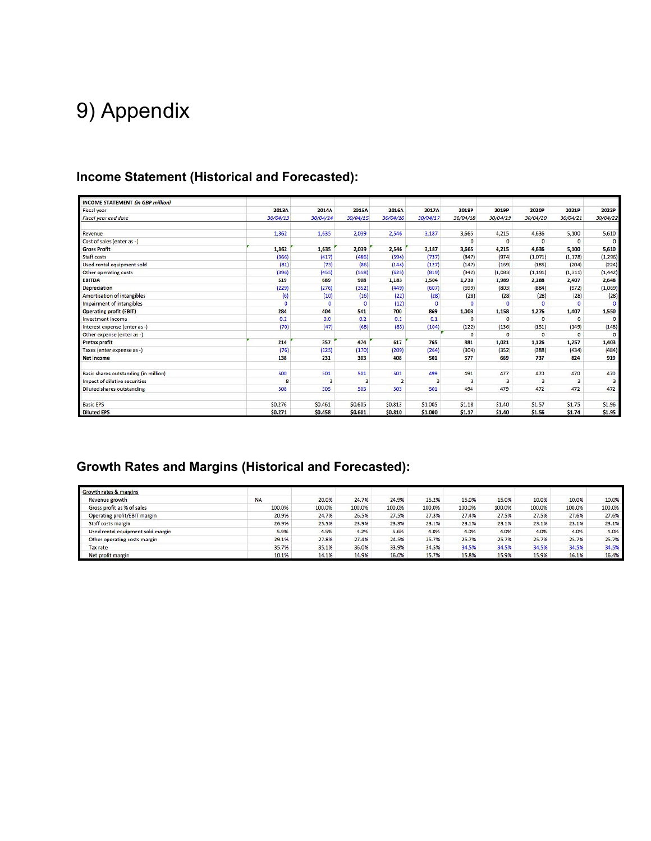# 9) Appendix

### **Income Statement (Historical and Forecasted):**

| <b>INCOME STATEMENT (in GBP million)</b> |               |          |          |                |          |                         |                |                         |                |                         |
|------------------------------------------|---------------|----------|----------|----------------|----------|-------------------------|----------------|-------------------------|----------------|-------------------------|
| <b>Fiscal year</b>                       | 2013A         | 2014A    | 2015A    | 2016A          | 2017A    | 2018P                   | 2019P          | 2020P                   | 2021P          | 2022P                   |
| Fiscal year end date                     | 30/04/13      | 30/04/14 | 30/04/15 | 30/04/16       | 30/04/17 | 30/04/18                | 30/04/19       | 30/04/20                | 30/04/21       | 30/04/22                |
| Revenue                                  | 1,362         | 1,635    | 2,039    | 2,546          | 3,187    | 3,665                   | 4,215          | 4,636                   | 5,100          | 5,610                   |
| Cost of sales (enter as -)               |               |          |          |                |          | $\Omega$                | $\Omega$       | $\Omega$                | $\Omega$       | $\Omega$                |
| <b>Gross Profit</b>                      | 1,362         | 1,635    | 2,039    | 2,546          | 3,187    | 3,665                   | 4,215          | 4,636                   | 5,100          | 5,610                   |
| Staff costs                              | (366)         | (417)    | (486)    | (594)          | (737)    | (847)                   | (974)          | (1,071)                 | (1, 178)       | (1, 296)                |
| Used rental equipment sold               | (81)          | (73)     | (86)     | (144)          | (127)    | (147)                   | (169)          | (185)                   | (204)          | (224)                   |
| Other operating costs                    | (396)         | (455)    | (558)    | (625)          | (819)    | (942)                   | (1,083)        | (1, 191)                | (1, 311)       | (1, 442)                |
| <b>EBITDA</b>                            | 519           | 689      | 908      | 1,183          | 1,504    | 1.730                   | 1,989          | 2,188                   | 2,407          | 2,648                   |
| Depreciation                             | (229)         | (276)    | (352)    | (449)          | (607)    | (699)                   | (803)          | (884)                   | (972)          | (1,069)                 |
| <b>Amortisation of intangibles</b>       | (6)           | (10)     | (16)     | (22)           | (28)     | (28)                    | (28)           | (28)                    | (28)           | (28)                    |
| Impairment of intangibles                | $\bullet$     | o        | $\circ$  | (12)           | o        | o                       | o              | $\circ$                 | $\Omega$       | o                       |
| <b>Operating profit (EBIT)</b>           | 284           | 404      | 541      | 700            | 869      | 1,003                   | 1,158          | 1,276                   | 1,407          | 1,550                   |
| Investment income                        | 0.2           | 0.0      | 0.2      | 0.1            | 0.1      | $\circ$                 | $\overline{0}$ | $\circ$                 | $\Omega$       | $\mathbf{0}$            |
| Interest expense (enter as -)            | (70)          | (47)     | (68)     | (83)           | (104)    | (122)                   | (136)          | (151)                   | (149)          | (148)                   |
| Other expense (enter as -)               |               |          |          |                |          | $\circ$                 | $\bf{0}$       | $\Omega$                | $\mathbf{0}$   | $\mathbf{0}$            |
| Pretax profit                            | 214           | 357      | 474      | 617            | 765      | 881                     | 1.021          | 1,126                   | 1,257          | 1,403                   |
| Taxes (enter expense as -)               | (76)          | (125)    | (170)    | (209)          | (264)    | (304)                   | (352)          | (388)                   | (434)          | (484)                   |
| <b>Net income</b>                        | 138           | 231      | 303      | 408            | 501      | 577                     | 669            | 737                     | 824            | 919                     |
| Basic shares outstanding (in million)    | 500           | 501      | 501      | 501            | 499      | 491                     | 477            | 470                     | 470            | 470                     |
| Impact of dilutive securities            | 8             | 3        |          | $\overline{2}$ | 3        | $\overline{\mathbf{3}}$ | 3              | $\overline{\mathbf{3}}$ | $\overline{3}$ | $\overline{\mathbf{3}}$ |
| Diluted shares outstanding               | 508           | 505      | 505      | 503            | 501      | 494                     | 479            | 472                     | 472            | 472                     |
| <b>Basic EPS</b>                         | <b>SO.276</b> | \$0,461  | \$0.605  | \$0.813        | \$1.005  | 51.18                   | \$1.40         | \$1.57                  | \$1.75         | \$1.96                  |
| <b>Diluted EPS</b>                       | \$0.271       | \$0,458  | \$0.601  | \$0,810        | \$1,000  | \$1.17                  | \$1.40         | \$1.56                  | \$1,74         | \$1.95                  |

### **Growth Rates and Margins (Historical and Forecasted):**

| Growth rates & margins            |           |        |        |        |        |        |        |        |        |        |
|-----------------------------------|-----------|--------|--------|--------|--------|--------|--------|--------|--------|--------|
| Revenue growth                    | <b>NA</b> | 20.0%  | 24.7%  | 24.9%  | 25.2%  | 15.0%  | 15.0%  | 10.0%  | 10.0%  | 10.0%  |
| Gross profit as % of sales        | 100.0%    | 100.0% | 100.0% | 100.0% | 100.0% | 100.0% | 100.0% | 100,0% | 100.0% | 100.0% |
| Operating profit/EBIT margin      | 20.9%     | 24.7%  | 26.5%  | 27.5%  | 27.3%  | 27.4%  | 27.5%  | 27.5%  | 27.6%  | 27.6%  |
| Staff costs margin                | 26.9%     | 25.5%  | 23.9%  | 23.3%  | 23.1%  | 23.1%  | 23.1%  | 23.1%  | 23.1%  | 23.1%  |
| Used rental equipment sold margin | 5.9%      | 4.5%   | 4.2%   | 5.6%   | 4.0%   | 4.0%   | 4.0%   | 4.0%   | 4.0%   | 4.0%   |
| Other operating costs margin      | 29.1%     | 27.8%  | 27.4%  | 24.5%  | 25.7%  | 25.7%  | 25.7%  | 25.7%  | 25.7%  | 25.7%  |
| <b>Tax rate</b>                   | 35.7%     | 35.1%  | 36.0%  | 33.9%  | 34.5%  | 34.5%  | 34.5%  | 34.5%  | 34.5%  | 34.5%  |
| Net profit margin                 | 10.1%     | 14.1%  | 14.9%  | 16.0%  | 15.7%  | 15.8%  | 15.9%  | 15.9%  | 16.1%  | 16.4%  |